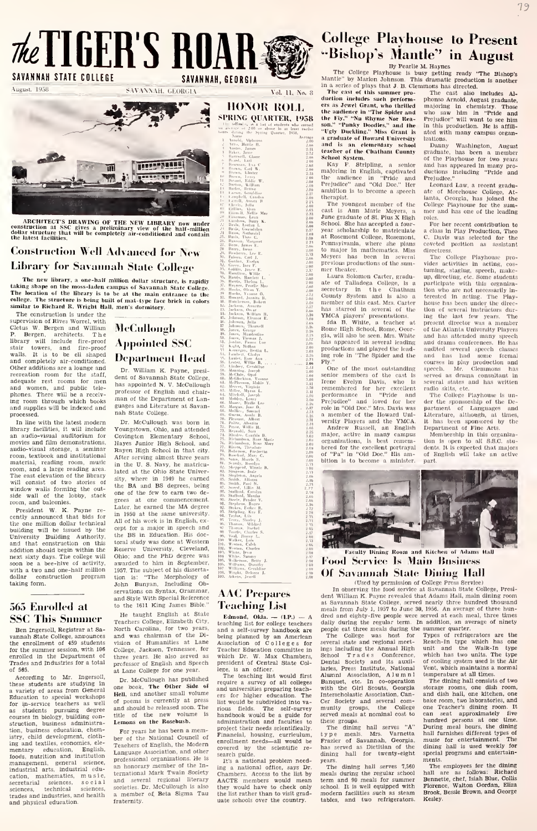# $\mathcal{H}\ell$  TIGERS ROAR SAVANNA STATE COLLEGE SAVANNA CLOOKER NAME, GEORGIA NAME, SECRET COLLEGE PROPERTY OF SAVANNA STATE COLLEGE SAVANNAH, GEORGIA VOLLEGE SAVANNAH, GEORGIA VOL. 11, No. 8 THE SAVANNAH. GEORGIA VOL. 11, No. 8 T

 $\sim$ THE PARTY



.ARCHITECTS DRAWING OF THE NEW LIBRARY now under construction at SSC gives <sup>a</sup> preliminary view of the half-miiiion dollar structure that will be completely air-conditioned and contain the latest facilities.

### **Construction Well Advanced for New** Library for Savannah State College

The new library, a one-half million dollar structure, is rapidly  $\sum_{n=1}^{\infty}$ .<br>Taking shape on the moss-laden campus of Savannah State College.<br>The location of the library is to be at the main entrance to the  $\frac{100}{10$ similar to Richard R. Wright Hall, men's dormitory.

The construction is under the supervision of Rives Worrel, with Cletus W. Bergen and William P. Bergen, architects. The<br>stair towers, and fire-proof<br>walls. It is to be ell shaped<br>and completely air-conditioned. DC Other additions are a lounge and<br>recreation room for the staff, dent<br>adequate rest rooms for men hope and completely air-conditioned. Dependent of the staff, there are a bounge and agentation from the staff, and women, has a receiv- propones. There will be a receiv- propones. There will be a receiv- ing room through which phones. There will be a receiv-<br>ing room through which books<br>and supplies will be indexed and processed.

In line with the latest modern library facilities, it will include Yo'<br>an audio-visual auditorium for Co' movies and film demonstrations, audio-visual storage, a seminar - Ray<br>room, textbook and institutional - Afte material, reading room, music room, and a large reading area. The east elevation of the library<br>will consist of two stories of the<br>side wall of the lobby, stack one<br>side wall of the lobby, stack gree<br>room, and balconies.

President W. K. Payne re cently announced that bids for in 1950 at the same university<br>the one million dollar technical All of his work is in English, exthe one million dollar technical <sup>ran</sup><br>building will be issued by the <sup>cep</sup> University Building Authority, and that construction on this addition should begin within the next sixty days. The college will - Ob<br>soon be a bee-hive of activity, - ay with a two and one-half million dollar construction program dollar cons<br>taking form.

#### 565 Enrolled at **SSC This Summer**

Ben Ingersoll. Registrar at Sa vannah State College, announces the enrollment of 459 students for the summer session, with 106 enrolled in the Department of the<br>Trades and Industries for a total pro of 565.

According to Mr. Ingersol these students are studying in<br>a variety of areas from General one Education to special workshops for in-service teachers as well Education to special workshops<br>for in-service teachers as well of<br>as students pursuing degree<br>courses in biology, building con-<br>struction, business administration, business education, chemistry, child development, cloth-<br>ing and textiles, economics, ele- T<sub>e</sub> mentary education. English, foods, nutrition and institution management, general science, industrial arts, industrial education, mathematics, music, <sup>terna</sup><br>secretarial sciences, social and<br>sciences, technical sciences, societ sciences, technical sciences,<br>trades and industries, and health and physical education.

**McCullongh** Appointed SSC Deparlnienl Head

Dr. William K. Payne, presi-<br>dent of Savannah State College,  $\begin{bmatrix} 0.8 & 1 \\ 0.9 & 10 \\ 0.1 & 0.1 \\ 0.2 & 1.1 \\ 0.3 & 0.4 \\ 0.7 & 0.8 \\ 0.9 & 0.9 \\ 0.9 & 0.9 \\ 0.9 & 0.9 \\ 0.9 & 0.9 \\ 0.9 & 0.9 \\ 0.9 & 0.9 \\ 0.9 & 0.9 \\ 0.9 & 0.9 \\ 0.9 & 0.9 \\ 0.9 &$ has appointed N. V. McCullough<br>professor of English and chairnan of the Department of Languages and Literature at Savan nah State College.

Dr. McCullough was born in Youngstown, Ohio, and attended Covington Elementary School, Hayes Junior High School, and Rayen High School in that city. After serving almost three years in the U. S. Navy, he matricu-lated at the Ohio State University, where in 1949 he earned  $\frac{35}{47}$ , the BA and BS degrees, being  $\frac{36}{47}$ . one of the few to earn two degrees at one commencement.  $\frac{90.5}{91.5}$ <br>Later, he earned the MA degree  $\frac{91.5}{91.5}$ <br>in 1950 at the same university.  $\frac{91.5}{91.5}$ grees at one commencement.<br>Later, he earned the MA degree  $\frac{\phi_1^2}{\phi_1^2}$ .<br>in 1950 at the same university,  $\frac{\phi_1^2}{\phi_1^2}$ .<br>All of his work is in English, ex-  $\frac{\phi_2^2}{\phi_2^2}$ .<br>cept for a major in speech and cept for a major in speech and<br>the BS in Education. His doctoral study was done at Western Reserve University, Cleveland, 103,<br>Ohio; and the PhD degree was 103,<br>awarded to him in September, 105, 1957. The subject of his disserta-tion is: "The Morphology of John Bunyan, Including Observations on Syntax, Grammar, and Style With Special Reference<br>to the 1611 King James Bible."

He taught English at State He taught English at State<br>Teachers College, Elizabeth City, North Carolina, for two years.<br>and was chairman of the Di-<br>vision of Humanities at Lane As: vision of Humanities at Lane College, Jackson, Tennessee, for three years. He also served as whi<br>professor of English and Speech pre: at Lane College for one year.

Dr. McCullough has published book. The Other Side of one book, the other same of of poems is currently at press  $\frac{1}{18}$  ist<br>and should be released soon. The  $\frac{1}{100}$ title of the new volume is Lemons on the Rosebush,

For years he has been a mem-<br>ber of the National Council of Teachers of English, the Modern<br>Language Association, and other professional organizations. He is an honorary member of the International Mark Twain Society and several regional literary societies. Dr. McCullough is also - they<br>a member of, Beta Sigma Tau - the l fraternity.

HONOR ROLL

be during the Spring Quarter, 1. Minohi, Mphones. i. Aiti.. lUiilr II. 1 Austro, James lljkrt. Janic <sup>2</sup>. Earnwell, C. lU«f.l. Earl . llingaras, Eva C. it. Brown. Carl W. .......<br>\* Brown. Elzater dulle and the second second second second second second second second second second second second second second second second second second second second second second second second second second second second second secon Vellie Ma<br>Leon<br>Betty K<br>Nyn L Jarketti, Orige mn<br>İletha L. \i''ni''!' bTmuH ^JM |.|,.fii, Minnie !.!!!!!!!!!! sm A**M**onza Nathud, Carolyn<br>Stafford, Maniha<br>Strebens, Ponder V.<br>Stephens, Royce<br>Stehens, Roy P.<br>Steipling, Koy P. ily<br>urley : J.<br>Bachel Tm:le, Clarles S. 2.42

#### AAC Prepares Teaching List

Edmond, Okla.  $-$  (1.P.)  $-$  A dred a<br>teaching list for college teachers daily **Example 1481** means and a self-survey handbook are being list for college teachers dall and a self-survey handbook are people planned by an American Ti Association of Colleges for <sup>set</sup><br>Teacher Education committee in in which Dr. W. Max Chambers, president of Central State College, is an officer.

The teaching list would first Alm<br>require a survey of all colleges Ba The teaching list would first Alum<br>require a survey of all colleges Ban<br>and universities preparing teach-<br>with<br>ers for higher education. The Inte<br>list would be subdivided into various fields. The self-survey mundbook would be a guide for ser<br>administration and faculties to the project their needs scientifically, and<br>project their needs scientifically, and project their needs—all would be re-<br>enrollment needs—all would be re-<br>covered by the scientific re-- has emomment needs—air would<br>covered by the scientific<br>search guide.

It's a national problem need-ing a national office, says Dr. Chambers. Access to the list by AACTE members would mean they would have to check only they would have to check only<br>the list rather than to visit graduate schools over the country-

### College Playhouse to Present ••Bishop's Mantle" in August

By Peaiite M. Haynes The College Playhouse Is busy getting ready "The Bishop's Mantle" by Marlon Johnson, This dramatic production Is another

in a scries of plays that J. B. Clemmons has directed.<br>The cast of this summer pro- The cast also includes Al-<br>duction includes such perform- phonso Arnold, August graduate,<br>ers as Jewel Grant, who thrilled majoring in che the nudience in "The Spider and<br>58 the Fly." "No Rhyme Nor Rea-Proj<br>the Son." "Punky Doodles." and the Inter-<br>"Ugly Duckling." Miss Grant is ated a graduate of Howard University - Iza<br>and - is - an - elementary - school - - - I teacher of the Chatham County School System. and is an elementary school Itaaher of the Chatham County grow<br>Kehool System.<br>Map F. Stripling, a senior an<br>majoring in English, captivated du<br>majoring in English, captivated du

the audience In "Pride and Prejudice" and Pride and Present gradu-<br>|Juries, William | 1990<br>|Juries, William | 1990 | Although and Doc. "Her Leonard Law, a recent gradu-<br>| Leon, Graddier | 2011 | ambittion is to become a sp

iol The youngest member of the College Playhouse for the sum-<br>a.oo J" - ast is Ann Marie Meyers, a mer and has one of the leading<br>a.oo June graduate of St, Plus X High roles. we school. She has accepted a four-<br>3.20 School. She has accepted a four- For her recent contribution to<br> $\frac{2.0}{2.30}$  at Rosemont College, Rosemont, C. Dayls was selected for the<br> $\frac{2.30}{2.30}$  Pennsylvania, where she p  $\lim_{h \to m} \lim_{h \to m} \lim_{h \to m} \frac{1}{h}$  at Rosemont College, Rosemont, C. Davis was selected for the  $\lim_{h \to m} \lim_{h \to m} \frac{1}{h}$  2.31 Pennsylvania, where she plans coveted position as assistant  $\lim_{h \to m} \frac{1}{h}$  2.35 to major in

Bettermonthaute and the contract of the second reading and the weather than the contract of the contract of the contract of the contract of the contract of the contract of the contract of the contract of the contract of th From William . The contract the contract the contract of Fine Arts.<br>
Electronic Sites B. The Contract of the contract of Fine Arts and the contract of the contract of the contract<br>
Electronic Sites B. The Contract of the

who saw him in "Pride and Prejudice" will want to see him In this production. He is affiliated with many campus organ-

izations.<br>Danny Washington, August<br>graduate, has been a member<br>of the Playhouse for two years and has appeared in many pro-<br>ductions Including "Pride and<br>Prejudice."

: المستقبل المستقبل المستقبل المستقبل المستقبل المستقبل المستقبل المستقبل المستقبل المستقبل المستقبل المستقبل<br>المستقبل المستقبل المستقبل المستقبل المستقبل المستقبل المستقبل المستقبل المستقبل المستقبل المستقبل المستقبل ا

For her recent contribution to a class in Play Production, Theo

her theater. The basic of the community of the community of the model of the community of the speech, make-<br>with a fail of Talladega College, is a participate with this organiza- $\lim_{R \to \infty} \lim_{R \to \infty} \lim_{R \to \infty} \lim_{R \to \infty} \lim_{R \to \infty} \lim_{R \to \infty} \lim_{R \to \infty} \lim_{R \to \infty} \lim_{R \to \infty} \lim_{R \to \infty} \lim_{R \to \infty} \lim_{R \to \infty} \lim_{R \to \infty} \lim_{R \to \infty} \lim_{R \to \infty} \lim_{R \to \infty} \lim_{R \to \infty} \lim_{R \to \infty} \lim_{R \to \infty} \lim_{R \to \infty} \lim_{R \to \infty} \lim_{R \to \infty}$  $\frac{1}{4}$ <sup>12</sup>/<sub>2</sub>),  $\frac{1}{2}$  County System and is also a participate with the decreasing  $\frac{1}{2}$ ,  $\frac{1}{2}$  County System and is also a three-stead are of this cast. Mrs. Carter house has been under the directions duri  $\Delta_{\text{photon}}$ ,  $\alpha_{\text{photon}}$ ,  $\alpha_{\text{photon}}$ ,  $\alpha_{\text{photon}}$ ,  $\alpha_{\text{photon}}$ ,  $\alpha_{\text{photon}}$ ,  $\alpha_{\text{photon}}$ ,  $\alpha_{\text{photon}}$ ,  $\alpha_{\text{photon}}$ ,  $\alpha_{\text{photon}}$ ,  $\alpha_{\text{photon}}$ ,  $\alpha_{\text{photon}}$ ,  $\alpha_{\text{photon}}$ ,  $\alpha_{\text{photon}}$ ,  $\alpha_{\text{photon}}$ ,  $\alpha_{\text{photon}}$ ,  $\alpha_{\text{photon}}$ , P''t"li'ctlons and playcd tlie lead- audited .Hcveral speech classes Uilirrn.!ii'''Anti '"'''' "'' '"^ ''"'\*^ '" '"^'^^ Spider and the and ha.H had Homo formal i-pitrr.' Willie D. !!!!!!!!!!!!!!!!;!;; 2m Fly" cour.ses In i)luy i)roductlon and \*^i"il"\ni']Z"cfi^^^^^ aoo ^"^ °^ \*''^\*' mo.st ouLstandlng speech. Mr. Clemmons has m! ! i''''kio"''''Y •-\*'!!' a!oo senior members of the cast Is served as drama consultant In ^I!li;,'',.,n^.Moht""Y...";.!;!;!;;;;;; -J;!" Irenc Evolyn Davis, who 1hseveral states and has wi'ltten MMi'.'!Mym!«''L ' '^"'1 I'P'iicmbored for her excellent radio skits, etc,

ii.v.r., Tj,',",i"r,. '.'.'..'.'.'.'."..'. 'i'.oo bcTcd for the excellent portrayal dents. It Is expected that majors i!''-X':i!Ma7;''^^^^^^^ of "Pa" In "Old Doc," His am- of English will take an active s''"."i/^'ii"!Bn,' Ml bltlon Is to become <sup>a</sup> minister, part.



WMir, Sammy 2,.17 wt It' • <sup>I</sup> fl <sup>1</sup> • <sup>11</sup> • wlliCr dS/:.;::::::::::::::: 2:m rood S'rvie<' Is IVIaiii Imisiihvss Willla,.!.! GetaUine''."\'.\\','.'.'.'.'.'.'.'.'.. 2^00 ^-.i.^' <sup>I</sup> il'.. % \\* \* 1111 ll:^.f:!:T'\:\v::::::::::::r\Z ^^' Savannah Stale Diiiiiifj; Hall

UI SAVAHDAH SIAIC UDINING ITAH<br>
In observing the food service at Savannah State College, Presi-<br>
In observing the food service at Savannah State College, Presi-<br>
at Savannah State College, served nearly three hundred thous at Savannah State College, served nearly three hundred thousand<br>meals from July 1, 1957 to June 30, 1956. An average of three hun-<br>dred and eighty-five people were served at each meal, three times meals from July 1, 1897 to June 80, 1968. An average of three hums<br>dred and eighty-five people were served at each meal, three times<br>daily during the regular term. In addition, an average of unity<br>people eat three meals d

Banquet, etc. In co-operation with the Girl Scouts. Georgia Interscholastic Association, Can- am<br>Cer Society and several com- bal<br>munity groups, the College on served meals at nominal cost to

these groups.<br>The dining hall serves "A" Duri<br>Frazier of Savannah, Georgia, musi<br>Frazier of Savannah, Georgia, musi<br>has served as Dietitian of the dining<br>dining hall for twenty-eight spec

years.<br>The dining hall serves 7,560 meals during the regular school teal<br>meals during the regular school teal<br>term and 90 meals for summer – Benn school. It is well equipped with Flor<br>modern facilities such as steam Bro<br>tables, and two refrigerators. Kes

Reach-In type which has one<br>unit and the Walk-In type<br>which has two units. The type<br>of cooling system used is the Air<br>Vent, which maintains a normal<br>temperature at all times.<br>The dining hall consists of two<br>storage rooms, or coomig system used is the All<br>Vent, which maintains a normal<br>temperature at all times.

storage rooms, one dish room,<br>and dish hall, one kitchen, one<br>bake room, two laboratories, and storage rooms, one dish room,<br>and dish hall, one kitchen, one<br>bake room, two laboratories, and<br>one Teacher's dining room. It<br>can seat approximately five hundred persons at one time. During meal hours, the dining hall furnishes different types of<br>music for entertainment. The music for entertainment. The dining hall is used weekly for special programs and entertain ments.

The employees for the hall are as follows: Richard Bennette. chef. Isiah Blue, CoUis Florence. Walton Gordan. Eliza Brook. Bessie Brown, and George Kesley.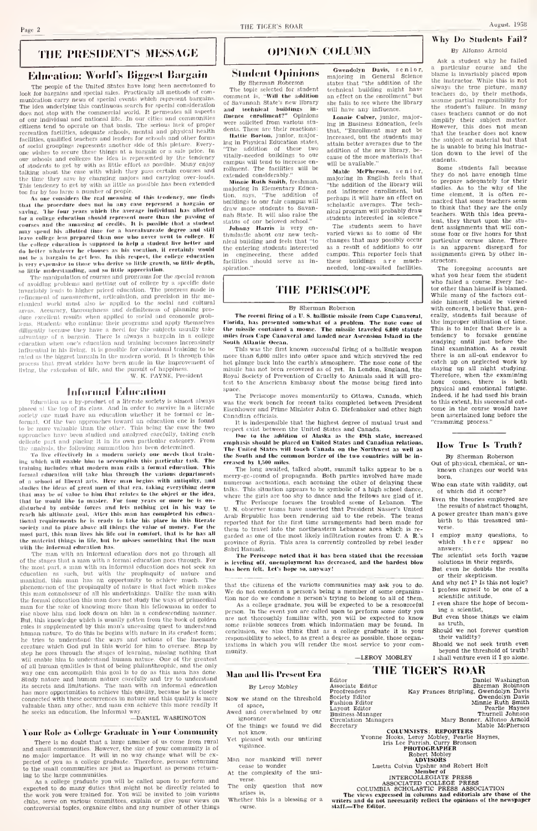#### THE PRESIDENT'S MESSAGE

#### **Education: World's Biggest Bargain**

The people of the United States have long been accessioned to look for barrelations and special states. Practically all methods of communication energy rews of special events which represent bargains. The lice underlying does not stop with the commercial world. At permeakes and communities<br>of our individual and national life. In our cities and communities<br>citizens tend to operate on that basis. The serious lack of proper cilizens for<br>al do operate on that Gasia. The certaic metric recreation facilities, a<br>dequate schools, mertic and any other forms certains and such a stress<br>than facilities, along<br>and  $\kappa$  certains and any other forms co

of students to use by with as little effect to<br>a possible. Many enjoy of  $\gamma$  is denoted to the case with which they gave certain<br> courses and the three three three parts of the functions of the time the<br> $\gamma$  are the stud may special tos anniver that are who never went to college. If<br>here college less prepared than one who never went to college. If<br>the college cducation is supposed to help a student live better and<br>do better whatever he cho to be a bargain to get less. In this respect, the college education<br>is very expensive to those who derive so little growth, so little depth,<br>so little understanding, and so little appreciation.

The manipulation of courses and programs for the special reason<br>of avoiding problems and getting out of college by a specific date on avoiding problems due priced education. The progress made in<br>the interaction concerned, article interaction of measurement, article<br>interaction, and precision in the measurement, are elasted in the measurement<br>elasted i enument worm mass asso as and definiteness of planning pro-<br>areas. Accuracy, theroughness and definiteness of planning pro-<br>duce excellent results when applied to social and cconomic probthems, Students who continue their programs and apply themselves<br>diligently because they have a need for the subjects usually take<br>advantage of a bargain. There is always a bargain in a college n one's education and training becomes increasingly equention when one's equention and training becomes increasingly<br>Influential in his living. It is possible for educational training to be<br>rated as the biggest bargain in the modern world. It is through this that great strides have been made in the improvement of process that great strides have been made in the improvement<br>living, the extension of life, and the pursuit of happiness.<br>W. K. PAYNE, President

#### **Informal Education**

 $\label{lem:main}$  Education as a by-product of a literate sectety is almost always<br>placed at the top of its class. And in order to survive in a literate sectety one must have an education whether it be formal or lasociety one must have an education who<br>fore it be tormal, or the two approaches loward in education one is found<br>to be nure valuable than the other. This being the case the two<br>approaches have been studied and analyzed car

deliarte part and plasing it in its own particular category. From the<br>interaction the final state of the following symmetric<br>in a modern determined. Irake, the control of the state effectively is<br>a modern sheep the state that he would like to master. For four years or more he is on-<br>disturbed by outside forces and lets nothing get in his way to reach his althoute goal. Micr this man has completed his educational requirements he is ready to take his place in this literate soriely and to place above all things the value of money. For the most part, this man lives his life out in comfort, that is he has all<br>the material things in life, but he misses something that the man with the informal education has.

The man with an informal education does not go through all<br>of the stages that a man with a formal education goes through. For of the stages must which a formal equation post urons of the stages must be the most part, a man with an informal education does not seek an education us such, but with the propinguity of nature and mankind, this man has a the formal education this man does not study the ways of primordial the formula effects<br>to this man does not study the ways of primordial effects manner for the sake of knowing more than his follow<br>mann in order to the sake of knowing more than the study of the sake<br> $\mathbf{R}$  and the fluct step he goes through the stages of learning, missing nothing that will enable him to understand human nature. One of the greatest<br>of all human qualities is that of being philanthrophic, and the only or an accomplish this goal is to do as this man has done.<br>Study nature and human nature carefully and try to understand<br>its secrets and limitations. The man with an informal education has more opportunities to achieve this quality, because he is closely nas more opportunities to achieve this quality, because he is closely<br>connected with these occurrences in nature and this quality is more<br>valuable than any other, and man can achieve this more readily if he seeks an education, the informal way.

#### -DANIEL WASHINGTON

#### Your Role as College Graduate in Your Community

There is no doubt that a large number of us come from rural There is no doubt that a large number of us tome from threat<br>and small communities. However, the size of your community is of<br>no major importance. It will in no way change what will be ex-<br>pected of you as a college gradua ing to the large communities.

ing to the large communities.<br>The called upon to perform and expected to do many duties that might not be directly related to be<br>the work you were trained for. You will be invited to join various<br>the direct of the work you

#### **OPINION COLLINN**

#### **Student Opinions**

By Sherman Roberson<br>The topic selected for student rm control is, "Will the addition<br>of Savannah State's new library<br>and technical buildings inthence enrollment?" Opinions<br>were solicited from various stufluence dents. These are their reactions

dents. These are then reactions.<br>Institute Borton, junior, major-<br>ing in Physical Education states, "The addition of these two<br>vitally-needed buildings to our compus will tend to increase encampus will tend to increase en-<br>rollment. The facilities will be<br>extended considerably."

Minnie Ruth Smith, freshman. Minine Award<br>ajoring in Ele mentary Educa tion, says, "The addition of<br>buildings to our fair campus will<br>draw more students to Savandraw more students to Savan-<br>hah State. It will also raise the<br>status of our beloved school."

Johnny Harris is very en-<br>thuslastic about our new tech-<br>nical building and feels that "to ... unering students interested<br>in engineering, these added<br>facilities should serve as in-<br>spiration." Gwendolyn Davis, senior,<br>majoring in General Science<br>states that "the addition of the<br>technical building might have an effect on the enrollment" but<br>she falls to see where the library will have any influence.

Lonnie Culver, junior, major ing in Business Education, feels ing in Business Equeation, reeis<br>that, "Enrollment may not be<br>increased, but the students may attain better averages due to the<br>addition of the new library, because of the more materials that will be available."

Mable McPherson, senio<br>majoring in English feels the senior. "the addition of the library will The addition of the Horary will<br>not influence enrollment, but<br>nerhans it will have an effect on cholastic averages. The technical program will probably draw students interested in science.

The students seem to have raried views as to some changes that may possibly occur as a result of additions campus. This reporter feels that these buildings are much-

#### **THE PERISCOPE**

#### By Sherman Roberson

The recent firing of a U.S. ballistic missile from Cape Canaveral, lorida, has presented somewhat of a problem. The nose cane of increase into the control source and to a promein. The nose cone of the missile contained a mouse. The missile traveled 6,000 statute<br>miles from Cape Canaveral and landed near Ascension Island in the South Atlantic Ocean

South Atlantic Ocean.<br>This was the first known successful firing of a ballistic weapon<br>more than 6,000 miles into outer space and which survived the red<br>hot plunge back linto the earth's atmosphere. The nose cone of the<br>m Royal Society of Prevention of Cruelty to Animals said it will proto the American Embassy about the mouse being fired into space.

...<br>The Periscope moves momentarily to Ottawa, Canada, which was the work bench for recent talks completed between President Eisenhower and Prime Minister John G. Diefenbaker and other high Canadian officials adaan orreads.<br>It is indespensible that the highest degree of mutual trust and

It is independented that the highest degree of mutual trust and care to predict the transfer of the addition of Abaska as the 49th state, increased enamplasis should be placed on United States and Canadian relations, the p sowan and the commun botaer of the two commites will be a<br>sed by 1,500 miles.<br>The long awaited, talked about, summit talks appear to be

merry-ge-round of propaganda. Both parties involved have made numerous accusations, each accusing the other of delaying these talks. This situation appears to be symbolic of a high school dance, states. This situation appears to be symbolic or a map school tance,<br>where the girls are too shy to dance and the fellows are glad of it.<br>T. R. Periscope focuses the troubled scene of Lebanon. The<br>U. N. observer teams have

U. N. ODSETVET teams have asserted that President Nasser's United<br>Arab Republic has been rendering aid to the rebels. The teams<br>reported that for the first time arrangements had been made for them to travel into the northeastern Lebanese area which is reprovince of Syria. This area is corrently controlled by rebel leader abri Ha nadi.

The Periscope noted that it has been stated that the recession is leveling off, anemployment has been stated that the recession<br>is leveling off, anemployment has decreased, and the hardest blow<br>has been felt. Let's hope so, anyway!

at the citizens of the various communities may ask you to do. We do not condemn a person's being a member of some organization nor do we condone a person's trying to belong to all of them.<br>As a college graduate, you will be expected to be a resourceful

person. In the event you are called upon to perform some duty you person, in the event you are cancel upon to perform some easily you are not thoroughly familiar with, you will be expected to know some reliable sources from which information may be found. In conclusion, we also think tha some removements that the associated product and the condition, we also think that as a college graduate it is your<br>responsibility to select, to as great a degree as possible, those organizations in which you will render t munity -LEROY MOBLEY

 $\tilde{z}$ 

### **EXECUTE OF THE DESIGNATION**<br>Baniel Washington<br>Kay Frances Stripling, Gwendolyn Davis<br>Gwendolyn Davis Editor<br>Associate Editor

**Man and His Present Era** By Leroy Mobley Now we stand on the threshold of space.

- Awed and overwhelmed by our
- ignorance Of the things we found we did
- not know.<br>Yet pleased with our untiring vigilance.
- Man nor mankind will never cease to wonder
- At the complexity of the universe.
- The only question that now arises
- Whether this is a blessing or a

Associate Educer<br>Proofreaders<br>Society Editor<br>Fashion Editor<br>Layout Editor<br>Business Manager<br>Circulation Managers ecretary COLUMNISTS: REPORTERS HABLe Mail:<br>
ITS LATER MAIN CONTROL HAT A PROTOCRAPHER<br>
HABLE PROTOCRAPHER<br>
BORT MAIN: ROBER<br>
Luetta Colvin Upshur and Robert Holt<br>
Luetta Colvin Upshur and Robert Holt<br>
ANTERCOLLECOATE P RESS.<br>
ANTER

THE TIGER'S ROAR

 $\begin{tabular}{c} \textbf{INERCISEUATE DURES}\xspace \\ \textbf{ASSCLATED COLISEOR P RESS}\\ \textbf{COLLISED COLASTC P RESES}\\ \textbf{The views expressed in columns and editions as a reference of the matrix and random variables.} \end{tabular}$ 

### Why Do Students Fail?

By Alfonso Arnold

Ask a student why he failed a particular course and the<br>blame is invariably placed upon the instructor. While this is not silways the true picture, many<br>teachers do, by their methods,<br>assume partial responsibility for the student's fallure. In many tudent's famure, in many<br>teachers cannot or do not<br>ify their subject matter. simplify their subject matter.<br>However, this does not mean<br>that the teacher does not know the subject or material but that he is unable to bring his insti tion down to the level of  $_{stable}$ Some students fall because

they do not have enough time<br>to prepare adequately for their studies. As to the why of the<br>time element, it is often re-<br>marked that some teachers seem to think that they are the only<br>teachers. With this idea prevalent, they thrust upon the stuassignments that will consider same four or five boars for that particular coruse alone. There<br>particular coruse alone. There<br>is an apparent disregard for assignments given by other instructors

The foregoing accounts are<br>what you hear from the student what you hear from the student<br>who failed a course. Every fac-<br>tor other than himself is blamed While many of the factors out-<br>side himself should be viewed<br>with concern, 1 believe that, generally, students fail because of the improper utilization of time. this is to infer that there is a<br>tendency to forsake genuine<br>studying until just before the final examination. As a result<br>there is an all-out endeavor to catch up on neglected work by staving np all night studying Therefore, when the examining hour comes, there is both<br>physical and emotional fatigue. Indeed if he had nsed his brain to this extent, his successful outcome in the course would have been ascertained long before the cramming process.

#### How True Is Truth?

#### By Sherman Roberson

- Out of physical, chemical, or un known changes our world was born.
- who can state with validity, out of which did it occur? Even the theories employed are
- the results of abstract thought. A power greater than man's gave
- birth to this treasured universe.
- employ many questions, to<br>which there appear no answers;
- The scientist sets forth vague solutions in their regards,<br>But even he doubts the results
- or their skepticism. And why not I? Is this not logic?
- I profess myself to be one of a<br>scientific attitude,
- I even share the hope of becoming a scientist,<br>But even those things we claim
- as truth,
- Should we not forever question their validity? Should we not seek truth even
- beyond the threshold of truth? I shall venture even if I go alone.

August. 1958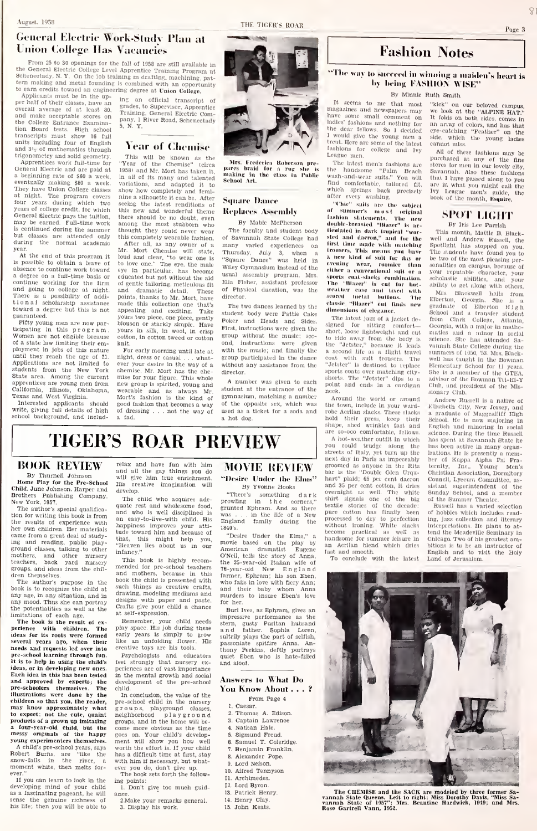#### $\hat{S}$ Page 3

### General Electric Work-Study Plan at Union College Has Vacancies<br>From 25 to 30 openings for the fall of 1958 are still available in

From 25 to 30 openings for the fall of 1958 are still available in<br>the General Electric College Level Apprentiee Training Program at<br>Scheneteidy, N. Y. On the job training in drafting, machining, pat-<br>tern making and meta

ppination mass we in the upoverall average of at least 80. and make acceptable scores on the<br>the College Entrance Examinatlon Board tests. High school transcripts must show 16 full units including four of English and  $3<sup>i</sup>$ - of mathematics through trigonometry and solid geometry.

Apprentices work full-time for "Y<br>General Electric and are paid at 195 a beginning rate of \$60 a week General Electric and are paid at 1958) and Mr. Mort has taken it a beginning rate of \$80 a week. In all of its many and talente eventually making \$80 a week. variations, and adapted it to They have Union College classes sh at night. The program covers four years during which two years of college credit, for which General Electric pays the tuition, thus new and wonderful theme.<br>General Electric pays the tuition, there should be no doubt, even<br>may be earned. Full-time work, among the most stubborn who is continued during the summer – thoug<br>but classes are attended only – this during – the – normal – academic – – Aft

year. At the end of this program it year. Mr.<br>At the end of this program it allows<br>is possible to obtain a leave of to absence to continue work toward<br>events a degree on a full-time basis or edu<br>continue working for the firm af<br>and going to college at night. and There is a possibility of addi- poli<br>tional scholarship assistance mae<br>toward a degree but this is not app guaranteed.

Fifty young men are now participating in this program. Women are not eligible because<br>of a state law limiting their emof a state law limiting their em-<br>ployment in jobs of this nature F<br>until they reach the age of 21, Applications are not limited to eve: students from the New York State area. Among the current apprentices are young men from California. Illinois, Oklahoma. Texas and West Virginia.

Interested applicants should write, giving full details of high school background, and includ-

ing an official transcript of grades, to Supervisor, Apprentice Training. General Electric Com-pany. <sup>1</sup> River Road. Schenectadv 5. N. Y.

#### Year of Chemise

This will be known as the "Year of the Chemise" (circa 1958) and Mr. Mort has taken it,  $\begin{array}{cc} \text{mat} \\ \text{mat} \end{array}$  all of its many and talented  $\begin{array}{cc} \text{sat} \\ \text{Set} \end{array}$ variations, and adapted it to show how completely and femi nine a silhouette it can be. After Samare Dance seeing the latest renditions of this new and wonderful theme there should be no doubt, even among the most stubborn who thought they could never wear this completely wearable fashion.

After all. as any owner of a Mr. Mort Chemise will state, Thu<br>loud and clear, "to wear one is "Squ<br>to love one." The eye, the male wile<br>eye in particular, has become were educated but not without the aid<br>educated but not without the aid of gentle tailoring, meticulous fit<br>and dramatic detail. These<br>points, thanks to Mr. Mort, have points, thanks to Mr. Mort, have dire<br>made this collection one that's appealing and exciting. Take stud yours two piece, one piece, gently blouson or starkly simple. Have yours in silk, in wool, in crisp cotton, in cotton tweed or cotton

knit. For early morning until late at night, dress or casual . . . what- gro<br>ever your desire in the way of a – wit chemise, Mr. Mort has the che-<br>mise for your figure. This whole mise for your figure. This whole and the spirited, young and  $\overline{\phantom{a}}$ wearable and as always Mr. <sup>Stud</sup><br>Mort's fashion is the kind of <sup>gyn</sup> good fashion that becomes <sup>a</sup> way of dressing ... not the way of a fad.



Mrs. Frederica Raberson pre- The the making in the class in Public was<br>making in the class in Public was<br>School Art.

## **Replaces Assembly**

By Mable McPherson

The faculty and student body **ticulated in dark trupleal** "worof Savannah State College had many varied experiences on Thursday. July 3, when a  $\frac{1}{n}$   $\frac{1}{n}$ Wiley Gymnasium instead of the usual assembly program. Mrs Ella Fisher, assistant professor of Physical ducatlon. was the director.

The two dances learned by the student body were Pattie Cake Poker and Heads and Sides. The signed First, Instructions were given the group without the music; sec ond, instructions were given<br>with the music: and finally the with the music; and finally the group participated in the dance without any assistance from the director,

A number was given to each student at the entrance of the gymnasium, matching a number of the opposite sex, which was used as a ticket for a soda and  $\frac{1}{1000}$ a hot dog.

### Fashion Notes

#### "The way to sneeeed in winning a maiden's heart is by being **FASHION** WISE

By Minnie Buth Smith

The latest men's fashions are<br>the handsome "Palm Beach the handsome "Pahn Beach<br>wash-and-wear suits," You will<br>find comfortable, tailnred fit,

dimensions of elegance. The latest jazz of a jacket de-<br>gned for sitting comfort

Around the world or arc the town. Include In your wardrobe Acrllan slacks. These slacks

so-ooo comfortable, fello A hot-weather outfit In which you could trudge along the<br>streets of Italy, yet turn up the

By Minnic Ruth Smith<br>It seems to me that most "kick" on our b magazines and newspapers may<br>have some small comment on<br>ladies' fashions and nothing for I would give the dear fellows. So I decided eye-catching<br>I would give the young men a side, which<br>trent. Here are some of the latest cannot miss. reut. Here are some of the latest cannot miss.<br>Inshibus for college and Ivy all of these fashions may be fashions for college and Ivy League men. look at the "ALPINE HAT. It folds on both sides, comes In an array of colors, and has that eye-catching "Feather" on the side, which the young ladies

find comfortable, tailored fit, an<br>which springs back precisely after every washing,<br>"Clile" suits are the subject<br>"Clile" suits are the subject<br>of summer's nwest original archased at any of the fine stores for men in our lovely city, Savannah, Also these fashions that I have passed along to yo are in what you might call the<br>Ivy League men's guide, the<br>book of the month, Esquirc.

#### SPOT LIGHT By Iris Lee Parrish

fashion statements, The new<br>double-breasted "Hiazer" is artieulated in dark truplcal "wor-<br>sted and dacron," and for the wel<br>first time made with matching Spo<br>trousers. This means you have The A new khad of suit fur day or be be a new khad of suite than some<br>evening wear, ranner than a somewhere content of the differ a conventional suit or a your<br>The "Biazer" is eat for but- ability<br>The "Biazer" is eat for but- This month, Mattle B. Blackwell and Andrew Russell, the<br>Spotlight has stopped on you. Spotlight has stopped on you.<br>The students have found you to be two of the most pleasing per-<br>sonalities on campus, because of sonalities on campus, because of your reputable chaructei', your scholastic abilities, and your ability to get along with others.

signed for sitting comfort— Go<br>short, loose lightweight and cut—ma to ride away from the body is se<br>the "Jetster," because it leads - ve a second life as a flight travel – sum<br>coat – with – suit – trousers. The – well<br>"Jetster" is destined to replace – Elen setster to acsounce to repute the memerically serious for it years shorts. The "Jetster" dips to a adv<br>point and ends in a cardigan - Clu Mrs, Blackwell halls from<br>Elbertan, Georgia, She Is a<br>graduate of Elberton H 1 g h<br>School and a transfer student<br>from Clark College, Atlanta,<br>Coorgla, with a major In mathe-<br>matics and a minor In social scrence. She has attended the<br>Vannah State College during the<br>summers of 1050, '53, Mrs, Blacksummers of 1650, '53. Mrs. Black-<br>well has taught in the Bowman<br>Elementary School for 11 years.<br>She is a member of the OTEA,<br>advisor of the Bowman Tri-Hi-Y advisor of the Bowman Tri-H Club, and president of the Missionary Club,

hold their press, keep their shape, shed wrinkles fast and streets of Italy, yet turn up the lzat<br>next day in Paris as impeccably – ber<br>groomed as anyone In the Ritz – ter Andrew Russell is a native of<br>Ellzabeth City, New Jersey, and<br>a graduate of Maggealliff High<br>School, He is now majoring in<br>English and minoring in social English and minoring in social<br>science. During the time Russell has spent at Savannah State he has been active In many organizations. He Is presently <sup>a</sup> mem-ber of Kappa Alpha Psl Fraternity, Inc. Young Men's Christian Association, Dormitory Council, Lyceum Committee, as- sistant superintendent of the sistant superintendent of the<br>Sunday School, and a member<br>of the Summer Theatre,<br>Russell has a varied selection<br>of hobbies which includes read-

of hobbles which Includes reading. Jazz collection and literary Interpretations. He plans to a<br>tend the Meadeville Seminary ville Seminary in Chicago, Two of his greatest ambitions is to be an instructor of<br>English and to visit the Holy<br>Land of Jerusalem,

## TIGER'S ROAR PREVIEW

### **BOOK REVIEW**

By Thurnell Johnson Child. June Johnson, Harper and Einia: June Johnson, Harper and<br>Brothers Publishing Company.<br>New York, 1957.

The author's special qualifica-<br>tion for writing this book is from  $\alpha$ the results of experience with her own children. Her materials came from <sup>a</sup> great deal of studying and reading, public play-<br>ground classes, talking to other  $\frac{m}{m}$ mothers, and other nursery teachers, back yard nursery groups, and ideas from the chil-

dren themselves. The author's purpose in the book<br>book is to recognize the child at suc any age. in any situation, and in any mood. Thus she can portray the potentialities as well as the

 $\frac{1}{2}$  limitations of each age.  $\frac{1}{2}$ <br>The book is the result of experience with children. The <sup>play</sup><br>ideas for its roots were formed <sup>earl</sup>!<br>several years ago, when their <sup>like</sup> needs and requests led over into creative toys are his tools pre-school learning through fun. pre-senool learning through fun.<br>ideas, or in developing new ones. per<br>ideas, or in developing new ones.<br>Each idea in this has been tested and<br>and approved by experts; the dev pre-schoolers themselves. The developre-schoolers themselves. The child. illustrations were done by the<br>children so that you, the reader, may know approximately what to expect: not the cute, quaint - nel<br>products of a grown up imitating - gro a four-year-old child, but the messy originals of the happy goes<br>young experimenters themselves. ment. young experimenters themselves. me<br>A child's pre-school years, says work<br>Robert Burns, are "like the has moment white, then melts for-

ever. If you can learn to look in the developing mind of your child<br>as a fascinating pageant, he will an sense the genuine richness of his hfe: then you will be able to

relax and have fun with him and all the gay things you do will give him true enrichment. His creative imagination will develop. velop. "There's<br>The child who acquires ade- nequiting

quate rest and wholesome food, gr<br>and who is well disciplined is we and who is well disciplined is<br>an easy-to-live-with child. His happiness improves your atti- 18<br>tude toward him and because of that, this might help you, "Heaven lies about us in our infancy."

This book is highly recom mended for pre-school teachers and mothers, because in this  $\frac{\tan x}{\tan x}$ such things as creative crafts, and<br>drawing, modeling mediums and mur designs with paper and paste Crafts give your child a chance at self-expression.

Remember, your child needs play space. His job during these - a n<br>early years is simply to grow -  $_{\rm{snlt}}$ like an unfolding flower. His creative toys are his tools.

Psychologists and educators feel strongly that nursery ex- periences are of vast importance Figure and social develops are model and social develops and solutions of the pre-school of the mental growth and social development of the pre-school  $\Lambda$ 

child. In conclusion, the value of the pre-school child in the nursery groups, playground classes, groups, phayground crasses,<br>neighborhood playground 2.<br>groups, and in the home will bepre-school child in the nursery<br>groups, playground classes,<br>neighborhood playgroups, and in the home will be-<br>groups, and in the home will be-<br>goes on. Your child's developwill show you how well a worth the effort is. If your child has a difficult time at first, stay a with him if necessary, but whatever you do, don't give up.

The book sets forth the follow-

- ing points: 1. Don't give too much guidance.
- 2.Make your remarks general. 3. Display his work.

### MOVIE REVIEW

By Yvonne Hooks

"There's something dark prowling in the corners," grunted Ephram, And so there was , , , in the life of a New England family during the I840's,

"Desire Under the Elms." a movie based on the play by an<br>American dramatist Eugene fast "Desire Under the Eims," a han<br>movie based on the play by an<br>American dramatist Eugene f<sub>last</sub><br>O'Neil, tells the story of Anna, The 25-year-old Italian wife of 76-year-old New England farmer, Ephram; his son Eben, who falls in love with fiery Ann, and their baby whom Anna murders to insure Eben's love for her

Burl Ives, as Ephram, gives impressive performance as the stern, gusty Puritan hubsand and father, Sophia Loren. sultrily plays the part of selfish. passoniate spitfire Anna, An-thony Perkins, deftly portrays quiet Eben who is hate-filled and aloof.

#### Answers to What Do You Know About . . . ? From Page <sup>4</sup>

- 
- 1, Caesar, 2, Thomas A, Edison,
- 3. Captain Lawrence<br>4. Nathan Hale. Nathan Hale.
- Sigmund Freud
- Samuel T, Coleridge.
- Benjamin Franklin, Alexander Pope.
- 9, Lord Nelson,
- 10, Alfred Tennyson
- 11, Archimedes,
- 12, Lord Byron, 13, Patrick Henry.
- 14, Henry Clay. 15, John Keats.

processed to dry to perfection ing<br>without Ironing. White slacks lint<br>become practical as well as ter<br>handsome for summer leisure In Ch an Acrllan blend which dries fast and smooth.

#### To conclude with the latest

The CHEMISE and the SACK are modeled by three former Sa-<br>vannah State Queens. Left to right: Miss Dorothy Davis, "Miss Sa-<br>vannah State of 1957": Mrs. Beautine Hardwick, 1949; and Mrs.<br>Rose Gartrell Vann, 1952.

"Desire Under the Elms" hext day in Paris as impectably<br>groomed as anyone in the Ritz<br>bar is the "Double Glen Urquhart" plaid; 65 per cent dacron

and 35 per cent cotton, It dries and as per cent cotton, it dries<br>overnight as well. The white Sur<br>shirt signals one of the big of<br>textile stories of the decade: Pure cotton has finally been of :

neck.